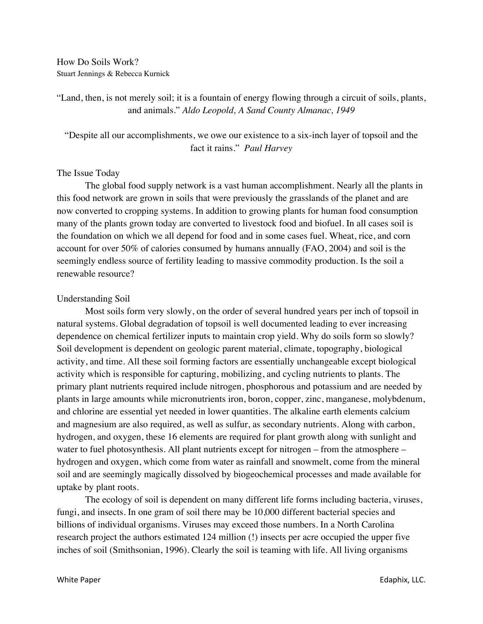How Do Soils Work? Stuart Jennings & Rebecca Kurnick

"Land, then, is not merely soil; it is a fountain of energy flowing through a circuit of soils, plants, and animals." *Aldo Leopold, A Sand County Almanac, 1949*

"Despite all our accomplishments, we owe our existence to a six-inch layer of topsoil and the fact it rains." *Paul Harvey*

## The Issue Today

The global food supply network is a vast human accomplishment. Nearly all the plants in this food network are grown in soils that were previously the grasslands of the planet and are now converted to cropping systems. In addition to growing plants for human food consumption many of the plants grown today are converted to livestock food and biofuel. In all cases soil is the foundation on which we all depend for food and in some cases fuel. Wheat, rice, and corn account for over 50% of calories consumed by humans annually (FAO, 2004) and soil is the seemingly endless source of fertility leading to massive commodity production. Is the soil a renewable resource?

## Understanding Soil

Most soils form very slowly, on the order of several hundred years per inch of topsoil in natural systems. Global degradation of topsoil is well documented leading to ever increasing dependence on chemical fertilizer inputs to maintain crop yield. Why do soils form so slowly? Soil development is dependent on geologic parent material, climate, topography, biological activity, and time. All these soil forming factors are essentially unchangeable except biological activity which is responsible for capturing, mobilizing, and cycling nutrients to plants. The primary plant nutrients required include nitrogen, phosphorous and potassium and are needed by plants in large amounts while micronutrients iron, boron, copper, zinc, manganese, molybdenum, and chlorine are essential yet needed in lower quantities. The alkaline earth elements calcium and magnesium are also required, as well as sulfur, as secondary nutrients. Along with carbon, hydrogen, and oxygen, these 16 elements are required for plant growth along with sunlight and water to fuel photosynthesis. All plant nutrients except for nitrogen – from the atmosphere – hydrogen and oxygen, which come from water as rainfall and snowmelt, come from the mineral soil and are seemingly magically dissolved by biogeochemical processes and made available for uptake by plant roots.

The ecology of soil is dependent on many different life forms including bacteria, viruses, fungi, and insects. In one gram of soil there may be 10,000 different bacterial species and billions of individual organisms. Viruses may exceed those numbers. In a North Carolina research project the authors estimated 124 million (!) insects per acre occupied the upper five inches of soil (Smithsonian, 1996). Clearly the soil is teaming with life. All living organisms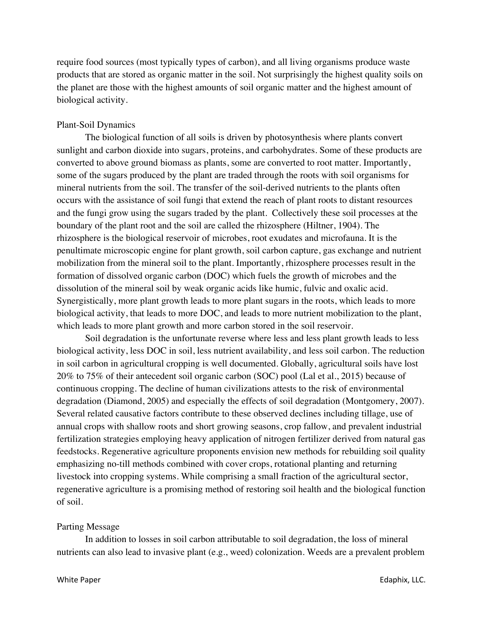require food sources (most typically types of carbon), and all living organisms produce waste products that are stored as organic matter in the soil. Not surprisingly the highest quality soils on the planet are those with the highest amounts of soil organic matter and the highest amount of biological activity.

## Plant-Soil Dynamics

The biological function of all soils is driven by photosynthesis where plants convert sunlight and carbon dioxide into sugars, proteins, and carbohydrates. Some of these products are converted to above ground biomass as plants, some are converted to root matter. Importantly, some of the sugars produced by the plant are traded through the roots with soil organisms for mineral nutrients from the soil. The transfer of the soil-derived nutrients to the plants often occurs with the assistance of soil fungi that extend the reach of plant roots to distant resources and the fungi grow using the sugars traded by the plant. Collectively these soil processes at the boundary of the plant root and the soil are called the rhizosphere (Hiltner, 1904). The rhizosphere is the biological reservoir of microbes, root exudates and microfauna. It is the penultimate microscopic engine for plant growth, soil carbon capture, gas exchange and nutrient mobilization from the mineral soil to the plant. Importantly, rhizosphere processes result in the formation of dissolved organic carbon (DOC) which fuels the growth of microbes and the dissolution of the mineral soil by weak organic acids like humic, fulvic and oxalic acid. Synergistically, more plant growth leads to more plant sugars in the roots, which leads to more biological activity, that leads to more DOC, and leads to more nutrient mobilization to the plant, which leads to more plant growth and more carbon stored in the soil reservoir.

Soil degradation is the unfortunate reverse where less and less plant growth leads to less biological activity, less DOC in soil, less nutrient availability, and less soil carbon. The reduction in soil carbon in agricultural cropping is well documented. Globally, agricultural soils have lost 20% to 75% of their antecedent soil organic carbon (SOC) pool (Lal et al., 2015) because of continuous cropping. The decline of human civilizations attests to the risk of environmental degradation (Diamond, 2005) and especially the effects of soil degradation (Montgomery, 2007). Several related causative factors contribute to these observed declines including tillage, use of annual crops with shallow roots and short growing seasons, crop fallow, and prevalent industrial fertilization strategies employing heavy application of nitrogen fertilizer derived from natural gas feedstocks. Regenerative agriculture proponents envision new methods for rebuilding soil quality emphasizing no-till methods combined with cover crops, rotational planting and returning livestock into cropping systems. While comprising a small fraction of the agricultural sector, regenerative agriculture is a promising method of restoring soil health and the biological function of soil.

#### Parting Message

In addition to losses in soil carbon attributable to soil degradation, the loss of mineral nutrients can also lead to invasive plant (e.g., weed) colonization. Weeds are a prevalent problem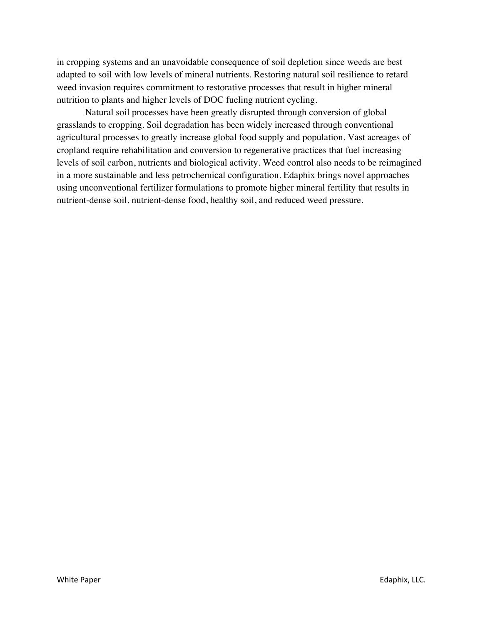in cropping systems and an unavoidable consequence of soil depletion since weeds are best adapted to soil with low levels of mineral nutrients. Restoring natural soil resilience to retard weed invasion requires commitment to restorative processes that result in higher mineral nutrition to plants and higher levels of DOC fueling nutrient cycling.

Natural soil processes have been greatly disrupted through conversion of global grasslands to cropping. Soil degradation has been widely increased through conventional agricultural processes to greatly increase global food supply and population. Vast acreages of cropland require rehabilitation and conversion to regenerative practices that fuel increasing levels of soil carbon, nutrients and biological activity. Weed control also needs to be reimagined in a more sustainable and less petrochemical configuration. Edaphix brings novel approaches using unconventional fertilizer formulations to promote higher mineral fertility that results in nutrient-dense soil, nutrient-dense food, healthy soil, and reduced weed pressure.